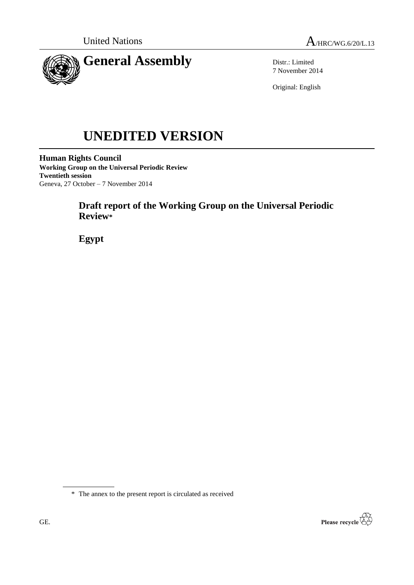



Distr.: Limited 7 November 2014

Original: English

# **UNEDITED VERSION**

**Human Rights Council Working Group on the Universal Periodic Review Twentieth session** Geneva, 27 October – 7 November 2014

# **Draft report of the Working Group on the Universal Periodic Review\***

**Egypt**

\* The annex to the present report is circulated as received

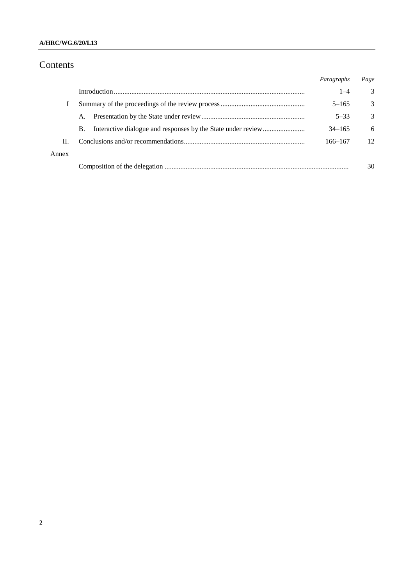## **A/HRC/WG.6/20/L13**

## Contents

|       |           | Paragraphs | Page            |
|-------|-----------|------------|-----------------|
|       |           | $1 - 4$    | 3               |
|       |           | $5 - 165$  | 3               |
|       | A.        | $5 - 33$   | $\mathcal{R}$   |
|       | <b>B.</b> | $34 - 165$ | 6               |
| H.    |           | 166-167    | 12 <sub>1</sub> |
| Annex |           |            |                 |
|       |           |            | 30              |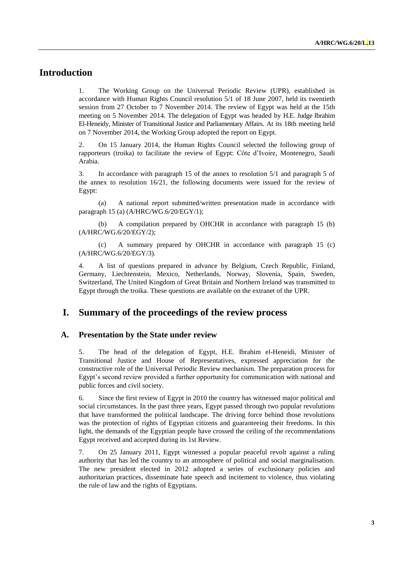## **Introduction**

1. The Working Group on the Universal Periodic Review (UPR), established in accordance with Human Rights Council resolution 5/1 of 18 June 2007, held its twentieth session from 27 October to 7 November 2014. The review of Egypt was held at the 15th meeting on 5 November 2014. The delegation of Egypt was headed by H.E. Judge Ibrahim El-Heneidy, Minister of Transitional Justice and Parliamentary Affairs. At its 18th meeting held on 7 November 2014, the Working Group adopted the report on Egypt.

2. On 15 January 2014, the Human Rights Council selected the following group of rapporteurs (troika) to facilitate the review of Egypt: Côte d'Ivoire, Montenegro, Saudi Arabia.

3. In accordance with paragraph 15 of the annex to resolution 5/1 and paragraph 5 of the annex to resolution 16/21, the following documents were issued for the review of Egypt:

(a) A national report submitted/written presentation made in accordance with paragraph 15 (a) (A/HRC/WG.6/20/EGY/1);

(b) A compilation prepared by OHCHR in accordance with paragraph 15 (b) (A/HRC/WG.6/20/EGY/2);

(c) A summary prepared by OHCHR in accordance with paragraph 15 (c) (A/HRC/WG.6/20/EGY/3).

4. A list of questions prepared in advance by Belgium, Czech Republic, Finland, Germany, Liechtenstein, Mexico, Netherlands, Norway, Slovenia, Spain, Sweden, Switzerland, The United Kingdom of Great Britain and Northern Ireland was transmitted to Egypt through the troika. These questions are available on the extranet of the UPR.

## **I. Summary of the proceedings of the review process**

#### **A. Presentation by the State under review**

5. The head of the delegation of Egypt, H.E. Ibrahim el-Heneidi, Minister of Transitional Justice and House of Representatives, expressed appreciation for the constructive role of the Universal Periodic Review mechanism. The preparation process for Egypt's second review provided a further opportunity for communication with national and public forces and civil society.

6. Since the first review of Egypt in 2010 the country has witnessed major political and social circumstances. In the past three years, Egypt passed through two popular revolutions that have transformed the political landscape. The driving force behind those revolutions was the protection of rights of Egyptian citizens and guaranteeing their freedoms. In this light, the demands of the Egyptian people have crossed the ceiling of the recommendations Egypt received and accepted during its 1st Review.

7. On 25 January 2011, Egypt witnessed a popular peaceful revolt against a ruling authority that has led the country to an atmosphere of political and social marginalisation. The new president elected in 2012 adopted a series of exclusionary policies and authoritarian practices, disseminate hate speech and incitement to violence, thus violating the rule of law and the rights of Egyptians.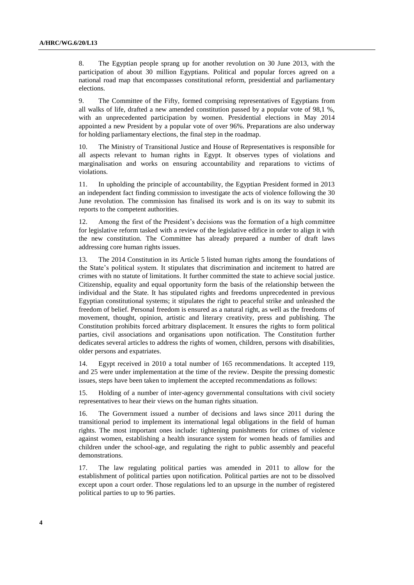8. The Egyptian people sprang up for another revolution on 30 June 2013, with the participation of about 30 million Egyptians. Political and popular forces agreed on a national road map that encompasses constitutional reform, presidential and parliamentary elections.

9. The Committee of the Fifty, formed comprising representatives of Egyptians from all walks of life, drafted a new amended constitution passed by a popular vote of 98,1 %, with an unprecedented participation by women. Presidential elections in May 2014 appointed a new President by a popular vote of over 96%. Preparations are also underway for holding parliamentary elections, the final step in the roadmap.

10. The Ministry of Transitional Justice and House of Representatives is responsible for all aspects relevant to human rights in Egypt. It observes types of violations and marginalisation and works on ensuring accountability and reparations to victims of violations.

11. In upholding the principle of accountability, the Egyptian President formed in 2013 an independent fact finding commission to investigate the acts of violence following the 30 June revolution. The commission has finalised its work and is on its way to submit its reports to the competent authorities.

12. Among the first of the President's decisions was the formation of a high committee for legislative reform tasked with a review of the legislative edifice in order to align it with the new constitution. The Committee has already prepared a number of draft laws addressing core human rights issues.

13. The 2014 Constitution in its Article 5 listed human rights among the foundations of the State's political system. It stipulates that discrimination and incitement to hatred are crimes with no statute of limitations. It further committed the state to achieve social justice. Citizenship, equality and equal opportunity form the basis of the relationship between the individual and the State. It has stipulated rights and freedoms unprecedented in previous Egyptian constitutional systems; it stipulates the right to peaceful strike and unleashed the freedom of belief. Personal freedom is ensured as a natural right, as well as the freedoms of movement, thought, opinion, artistic and literary creativity, press and publishing. The Constitution prohibits forced arbitrary displacement. It ensures the rights to form political parties, civil associations and organisations upon notification. The Constitution further dedicates several articles to address the rights of women, children, persons with disabilities, older persons and expatriates.

14. Egypt received in 2010 a total number of 165 recommendations. It accepted 119, and 25 were under implementation at the time of the review. Despite the pressing domestic issues, steps have been taken to implement the accepted recommendations as follows:

15. Holding of a number of inter-agency governmental consultations with civil society representatives to hear their views on the human rights situation.

16. The Government issued a number of decisions and laws since 2011 during the transitional period to implement its international legal obligations in the field of human rights. The most important ones include: tightening punishments for crimes of violence against women, establishing a health insurance system for women heads of families and children under the school-age, and regulating the right to public assembly and peaceful demonstrations.

17. The law regulating political parties was amended in 2011 to allow for the establishment of political parties upon notification. Political parties are not to be dissolved except upon a court order. Those regulations led to an upsurge in the number of registered political parties to up to 96 parties.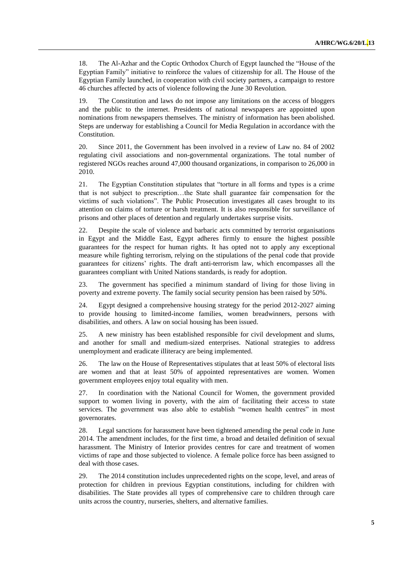18. The Al-Azhar and the Coptic Orthodox Church of Egypt launched the "House of the Egyptian Family" initiative to reinforce the values of citizenship for all. The House of the Egyptian Family launched, in cooperation with civil society partners, a campaign to restore 46 churches affected by acts of violence following the June 30 Revolution.

19. The Constitution and laws do not impose any limitations on the access of bloggers and the public to the internet. Presidents of national newspapers are appointed upon nominations from newspapers themselves. The ministry of information has been abolished. Steps are underway for establishing a Council for Media Regulation in accordance with the Constitution.

20. Since 2011, the Government has been involved in a review of Law no. 84 of 2002 regulating civil associations and non-governmental organizations. The total number of registered NGOs reaches around 47,000 thousand organizations, in comparison to 26,000 in 2010.

21. The Egyptian Constitution stipulates that "torture in all forms and types is a crime that is not subject to prescription…the State shall guarantee fair compensation for the victims of such violations". The Public Prosecution investigates all cases brought to its attention on claims of torture or harsh treatment. It is also responsible for surveillance of prisons and other places of detention and regularly undertakes surprise visits.

22. Despite the scale of violence and barbaric acts committed by terrorist organisations in Egypt and the Middle East, Egypt adheres firmly to ensure the highest possible guarantees for the respect for human rights. It has opted not to apply any exceptional measure while fighting terrorism, relying on the stipulations of the penal code that provide guarantees for citizens' rights. The draft anti-terrorism law, which encompasses all the guarantees compliant with United Nations standards, is ready for adoption.

23. The government has specified a minimum standard of living for those living in poverty and extreme poverty. The family social security pension has been raised by 50%.

24. Egypt designed a comprehensive housing strategy for the period 2012-2027 aiming to provide housing to limited-income families, women breadwinners, persons with disabilities, and others. A law on social housing has been issued.

25. A new ministry has been established responsible for civil development and slums, and another for small and medium-sized enterprises. National strategies to address unemployment and eradicate illiteracy are being implemented.

26. The law on the House of Representatives stipulates that at least 50% of electoral lists are women and that at least 50% of appointed representatives are women. Women government employees enjoy total equality with men.

27. In coordination with the National Council for Women, the government provided support to women living in poverty, with the aim of facilitating their access to state services. The government was also able to establish "women health centres" in most governorates.

28. Legal sanctions for harassment have been tightened amending the penal code in June 2014. The amendment includes, for the first time, a broad and detailed definition of sexual harassment. The Ministry of Interior provides centres for care and treatment of women victims of rape and those subjected to violence. A female police force has been assigned to deal with those cases.

29. The 2014 constitution includes unprecedented rights on the scope, level, and areas of protection for children in previous Egyptian constitutions, including for children with disabilities. The State provides all types of comprehensive care to children through care units across the country, nurseries, shelters, and alternative families.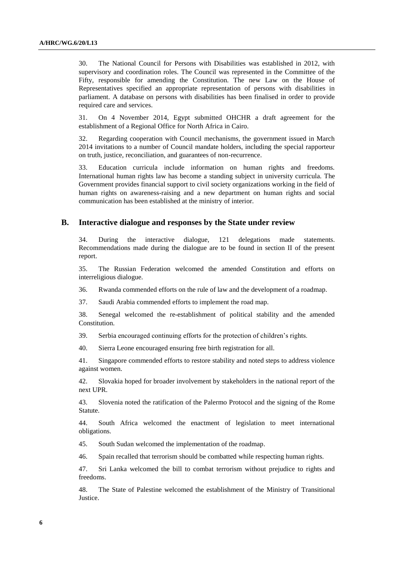30. The National Council for Persons with Disabilities was established in 2012, with supervisory and coordination roles. The Council was represented in the Committee of the Fifty, responsible for amending the Constitution. The new Law on the House of Representatives specified an appropriate representation of persons with disabilities in parliament. A database on persons with disabilities has been finalised in order to provide required care and services.

31. On 4 November 2014, Egypt submitted OHCHR a draft agreement for the establishment of a Regional Office for North Africa in Cairo.

32. Regarding cooperation with Council mechanisms, the government issued in March 2014 invitations to a number of Council mandate holders, including the special rapporteur on truth, justice, reconciliation, and guarantees of non-recurrence.

33. Education curricula include information on human rights and freedoms. International human rights law has become a standing subject in university curricula. The Government provides financial support to civil society organizations working in the field of human rights on awareness-raising and a new department on human rights and social communication has been established at the ministry of interior.

#### **B. Interactive dialogue and responses by the State under review**

34. During the interactive dialogue, 121 delegations made statements. Recommendations made during the dialogue are to be found in section II of the present report.

35. The Russian Federation welcomed the amended Constitution and efforts on interreligious dialogue.

36. Rwanda commended efforts on the rule of law and the development of a roadmap.

37. Saudi Arabia commended efforts to implement the road map.

38. Senegal welcomed the re-establishment of political stability and the amended Constitution.

39. Serbia encouraged continuing efforts for the protection of children's rights.

40. Sierra Leone encouraged ensuring free birth registration for all.

41. Singapore commended efforts to restore stability and noted steps to address violence against women.

42. Slovakia hoped for broader involvement by stakeholders in the national report of the next UPR.

43. Slovenia noted the ratification of the Palermo Protocol and the signing of the Rome Statute.

44. South Africa welcomed the enactment of legislation to meet international obligations.

45. South Sudan welcomed the implementation of the roadmap.

46. Spain recalled that terrorism should be combatted while respecting human rights.

47. Sri Lanka welcomed the bill to combat terrorism without prejudice to rights and freedoms.

48. The State of Palestine welcomed the establishment of the Ministry of Transitional Justice.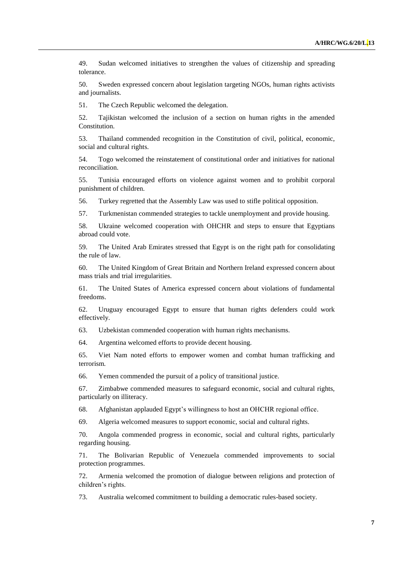49. Sudan welcomed initiatives to strengthen the values of citizenship and spreading tolerance.

50. Sweden expressed concern about legislation targeting NGOs, human rights activists and journalists.

51. The Czech Republic welcomed the delegation.

52. Tajikistan welcomed the inclusion of a section on human rights in the amended Constitution.

53. Thailand commended recognition in the Constitution of civil, political, economic, social and cultural rights.

54. Togo welcomed the reinstatement of constitutional order and initiatives for national reconciliation.

55. Tunisia encouraged efforts on violence against women and to prohibit corporal punishment of children.

56. Turkey regretted that the Assembly Law was used to stifle political opposition.

57. Turkmenistan commended strategies to tackle unemployment and provide housing.

58. Ukraine welcomed cooperation with OHCHR and steps to ensure that Egyptians abroad could vote.

59. The United Arab Emirates stressed that Egypt is on the right path for consolidating the rule of law.

60. The United Kingdom of Great Britain and Northern Ireland expressed concern about mass trials and trial irregularities.

61. The United States of America expressed concern about violations of fundamental freedoms.

62. Uruguay encouraged Egypt to ensure that human rights defenders could work effectively.

63. Uzbekistan commended cooperation with human rights mechanisms.

64. Argentina welcomed efforts to provide decent housing.

65. Viet Nam noted efforts to empower women and combat human trafficking and terrorism.

66. Yemen commended the pursuit of a policy of transitional justice.

67. Zimbabwe commended measures to safeguard economic, social and cultural rights, particularly on illiteracy.

68. Afghanistan applauded Egypt's willingness to host an OHCHR regional office.

69. Algeria welcomed measures to support economic, social and cultural rights.

70. Angola commended progress in economic, social and cultural rights, particularly regarding housing.

71. The Bolivarian Republic of Venezuela commended improvements to social protection programmes.

72. Armenia welcomed the promotion of dialogue between religions and protection of children's rights.

73. Australia welcomed commitment to building a democratic rules-based society.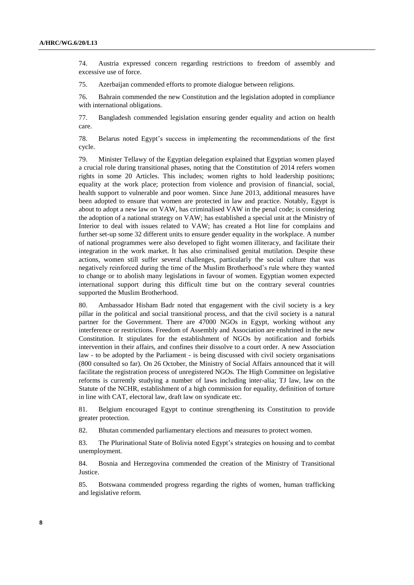74. Austria expressed concern regarding restrictions to freedom of assembly and excessive use of force.

75. Azerbaijan commended efforts to promote dialogue between religions.

76. Bahrain commended the new Constitution and the legislation adopted in compliance with international obligations.

77. Bangladesh commended legislation ensuring gender equality and action on health care.

78. Belarus noted Egypt's success in implementing the recommendations of the first cycle.

79. Minister Tellawy of the Egyptian delegation explained that Egyptian women played a crucial role during transitional phases, noting that the Constitution of 2014 refers women rights in some 20 Articles. This includes; women rights to hold leadership positions; equality at the work place; protection from violence and provision of financial, social, health support to vulnerable and poor women. Since June 2013, additional measures have been adopted to ensure that women are protected in law and practice. Notably, Egypt is about to adopt a new law on VAW, has criminalised VAW in the penal code; is considering the adoption of a national strategy on VAW; has established a special unit at the Ministry of Interior to deal with issues related to VAW; has created a Hot line for complains and further set-up some 32 different units to ensure gender equality in the workplace. A number of national programmes were also developed to fight women illiteracy, and facilitate their integration in the work market. It has also criminalised genital mutilation. Despite these actions, women still suffer several challenges, particularly the social culture that was negatively reinforced during the time of the Muslim Brotherhood's rule where they wanted to change or to abolish many legislations in favour of women. Egyptian women expected international support during this difficult time but on the contrary several countries supported the Muslim Brotherhood.

80. Ambassador Hisham Badr noted that engagement with the civil society is a key pillar in the political and social transitional process, and that the civil society is a natural partner for the Government. There are 47000 NGOs in Egypt, working without any interference or restrictions. Freedom of Assembly and Association are enshrined in the new Constitution. It stipulates for the establishment of NGOs by notification and forbids intervention in their affairs, and confines their dissolve to a court order. A new Association law - to be adopted by the Parliament - is being discussed with civil society organisations (800 consulted so far). On 26 October, the Ministry of Social Affairs announced that it will facilitate the registration process of unregistered NGOs. The High Committee on legislative reforms is currently studying a number of laws including inter-alia; TJ law, law on the Statute of the NCHR, establishment of a high commission for equality, definition of torture in line with CAT, electoral law, draft law on syndicate etc.

81. Belgium encouraged Egypt to continue strengthening its Constitution to provide greater protection.

82. Bhutan commended parliamentary elections and measures to protect women.

83. The Plurinational State of Bolivia noted Egypt's strategies on housing and to combat unemployment.

84. Bosnia and Herzegovina commended the creation of the Ministry of Transitional Justice.

85. Botswana commended progress regarding the rights of women, human trafficking and legislative reform.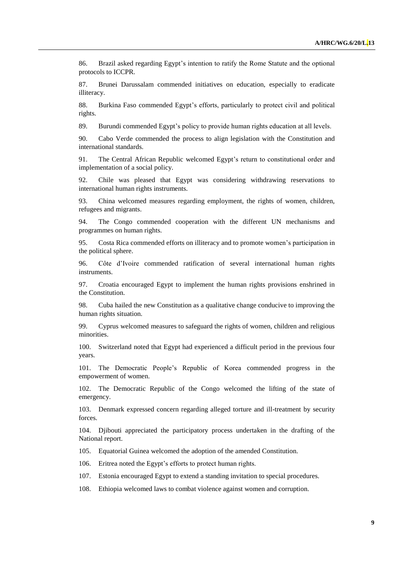86. Brazil asked regarding Egypt's intention to ratify the Rome Statute and the optional protocols to ICCPR.

87. Brunei Darussalam commended initiatives on education, especially to eradicate illiteracy.

88. Burkina Faso commended Egypt's efforts, particularly to protect civil and political rights.

89. Burundi commended Egypt's policy to provide human rights education at all levels.

90. Cabo Verde commended the process to align legislation with the Constitution and international standards.

91. The Central African Republic welcomed Egypt's return to constitutional order and implementation of a social policy.

92. Chile was pleased that Egypt was considering withdrawing reservations to international human rights instruments.

93. China welcomed measures regarding employment, the rights of women, children, refugees and migrants.

94. The Congo commended cooperation with the different UN mechanisms and programmes on human rights.

95. Costa Rica commended efforts on illiteracy and to promote women's participation in the political sphere.

96. Côte d'Ivoire commended ratification of several international human rights instruments.

97. Croatia encouraged Egypt to implement the human rights provisions enshrined in the Constitution.

98. Cuba hailed the new Constitution as a qualitative change conducive to improving the human rights situation.

99. Cyprus welcomed measures to safeguard the rights of women, children and religious minorities.

100. Switzerland noted that Egypt had experienced a difficult period in the previous four years.

101. The Democratic People's Republic of Korea commended progress in the empowerment of women.

102. The Democratic Republic of the Congo welcomed the lifting of the state of emergency.

103. Denmark expressed concern regarding alleged torture and ill-treatment by security forces.

104. Djibouti appreciated the participatory process undertaken in the drafting of the National report.

105. Equatorial Guinea welcomed the adoption of the amended Constitution.

106. Eritrea noted the Egypt's efforts to protect human rights.

107. Estonia encouraged Egypt to extend a standing invitation to special procedures.

108. Ethiopia welcomed laws to combat violence against women and corruption.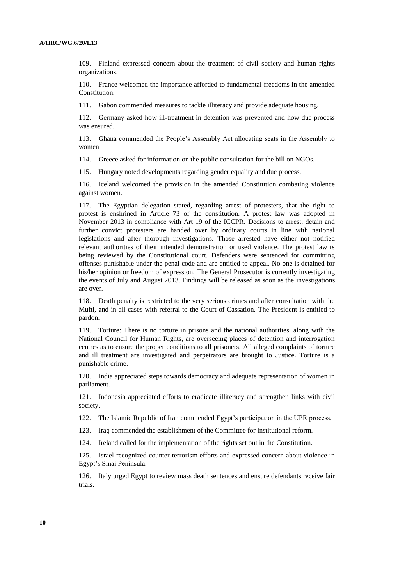109. Finland expressed concern about the treatment of civil society and human rights organizations.

110. France welcomed the importance afforded to fundamental freedoms in the amended Constitution.

111. Gabon commended measures to tackle illiteracy and provide adequate housing.

112. Germany asked how ill-treatment in detention was prevented and how due process was ensured.

113. Ghana commended the People's Assembly Act allocating seats in the Assembly to women.

114. Greece asked for information on the public consultation for the bill on NGOs.

115. Hungary noted developments regarding gender equality and due process.

116. Iceland welcomed the provision in the amended Constitution combating violence against women.

117. The Egyptian delegation stated, regarding arrest of protesters, that the right to protest is enshrined in Article 73 of the constitution. A protest law was adopted in November 2013 in compliance with Art 19 of the ICCPR. Decisions to arrest, detain and further convict protesters are handed over by ordinary courts in line with national legislations and after thorough investigations. Those arrested have either not notified relevant authorities of their intended demonstration or used violence. The protest law is being reviewed by the Constitutional court. Defenders were sentenced for committing offenses punishable under the penal code and are entitled to appeal. No one is detained for his/her opinion or freedom of expression. The General Prosecutor is currently investigating the events of July and August 2013. Findings will be released as soon as the investigations are over.

118. Death penalty is restricted to the very serious crimes and after consultation with the Mufti, and in all cases with referral to the Court of Cassation. The President is entitled to pardon.

119. Torture: There is no torture in prisons and the national authorities, along with the National Council for Human Rights, are overseeing places of detention and interrogation centres as to ensure the proper conditions to all prisoners. All alleged complaints of torture and ill treatment are investigated and perpetrators are brought to Justice. Torture is a punishable crime.

120. India appreciated steps towards democracy and adequate representation of women in parliament.

121. Indonesia appreciated efforts to eradicate illiteracy and strengthen links with civil society.

122. The Islamic Republic of Iran commended Egypt's participation in the UPR process.

123. Iraq commended the establishment of the Committee for institutional reform.

124. Ireland called for the implementation of the rights set out in the Constitution.

125. Israel recognized counter-terrorism efforts and expressed concern about violence in Egypt's Sinai Peninsula.

126. Italy urged Egypt to review mass death sentences and ensure defendants receive fair trials.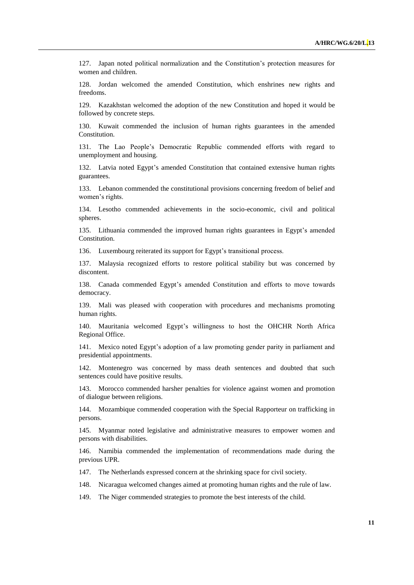127. Japan noted political normalization and the Constitution's protection measures for women and children.

128. Jordan welcomed the amended Constitution, which enshrines new rights and freedoms.

129. Kazakhstan welcomed the adoption of the new Constitution and hoped it would be followed by concrete steps.

130. Kuwait commended the inclusion of human rights guarantees in the amended Constitution.

131. The Lao People's Democratic Republic commended efforts with regard to unemployment and housing.

132. Latvia noted Egypt's amended Constitution that contained extensive human rights guarantees.

133. Lebanon commended the constitutional provisions concerning freedom of belief and women's rights.

134. Lesotho commended achievements in the socio-economic, civil and political spheres.

135. Lithuania commended the improved human rights guarantees in Egypt's amended Constitution.

136. Luxembourg reiterated its support for Egypt's transitional process.

137. Malaysia recognized efforts to restore political stability but was concerned by discontent.

138. Canada commended Egypt's amended Constitution and efforts to move towards democracy.

139. Mali was pleased with cooperation with procedures and mechanisms promoting human rights.

140. Mauritania welcomed Egypt's willingness to host the OHCHR North Africa Regional Office.

141. Mexico noted Egypt's adoption of a law promoting gender parity in parliament and presidential appointments.

142. Montenegro was concerned by mass death sentences and doubted that such sentences could have positive results.

143. Morocco commended harsher penalties for violence against women and promotion of dialogue between religions.

144. Mozambique commended cooperation with the Special Rapporteur on trafficking in persons.

145. Myanmar noted legislative and administrative measures to empower women and persons with disabilities.

146. Namibia commended the implementation of recommendations made during the previous UPR.

147. The Netherlands expressed concern at the shrinking space for civil society.

148. Nicaragua welcomed changes aimed at promoting human rights and the rule of law.

149. The Niger commended strategies to promote the best interests of the child.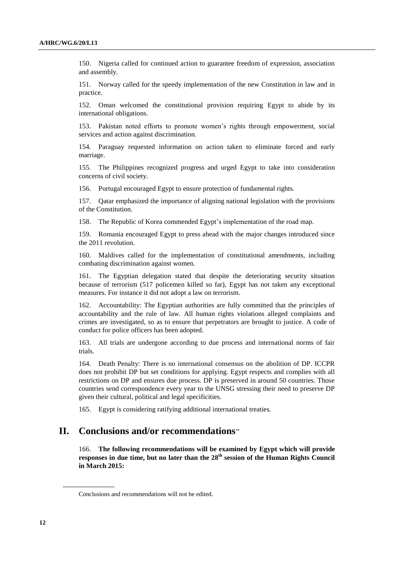150. Nigeria called for continued action to guarantee freedom of expression, association and assembly.

151. Norway called for the speedy implementation of the new Constitution in law and in practice.

152. Oman welcomed the constitutional provision requiring Egypt to abide by its international obligations.

153. Pakistan noted efforts to promote women's rights through empowerment, social services and action against discrimination.

154. Paraguay requested information on action taken to eliminate forced and early marriage.

155. The Philippines recognized progress and urged Egypt to take into consideration concerns of civil society.

156. Portugal encouraged Egypt to ensure protection of fundamental rights.

157. Qatar emphasized the importance of aligning national legislation with the provisions of the Constitution.

158. The Republic of Korea commended Egypt's implementation of the road map.

159. Romania encouraged Egypt to press ahead with the major changes introduced since the 2011 revolution.

160. Maldives called for the implementation of constitutional amendments, including combating discrimination against women.

161. The Egyptian delegation stated that despite the deteriorating security situation because of terrorism (517 policemen killed so far), Egypt has not taken any exceptional measures. For instance it did not adopt a law on terrorism.

162. Accountability: The Egyptian authorities are fully committed that the principles of accountability and the rule of law. All human rights violations alleged complaints and crimes are investigated, so as to ensure that perpetrators are brought to justice. A code of conduct for police officers has been adopted.

163. All trials are undergone according to due process and international norms of fair trials.

164. Death Penalty: There is no international consensus on the abolition of DP. ICCPR does not prohibit DP but set conditions for applying. Egypt respects and complies with all restrictions on DP and ensures due process. DP is preserved in around 50 countries. Those countries send correspondence every year to the UNSG stressing their need to preserve DP given their cultural, political and legal specificities.

165. Egypt is considering ratifying additional international treaties.

## **II. Conclusions and/or recommendations**

166. **The following recommendations will be examined by Egypt which will provide responses in due time, but no later than the 28 th session of the Human Rights Council in March 2015:**

Conclusions and recommendations will not be edited.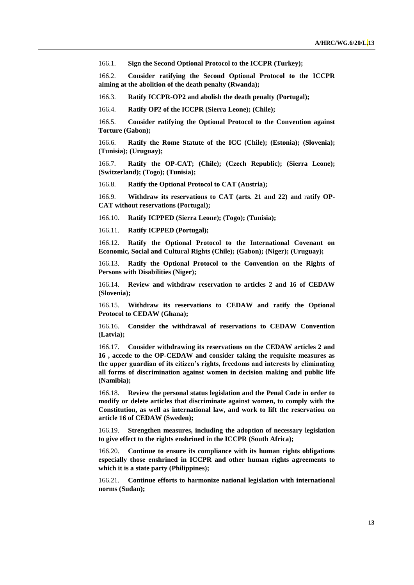166.1. **Sign the Second Optional Protocol to the ICCPR (Turkey);**

166.2. **Consider ratifying the Second Optional Protocol to the ICCPR aiming at the abolition of the death penalty (Rwanda);**

166.3. **Ratify ICCPR-OP2 and abolish the death penalty (Portugal);**

166.4. **Ratify OP2 of the ICCPR (Sierra Leone); (Chile);** 

166.5. **Consider ratifying the Optional Protocol to the Convention against Torture (Gabon);** 

166.6. **Ratify the Rome Statute of the ICC (Chile); (Estonia); (Slovenia); (Tunisia); (Uruguay);** 

166.7. **Ratify the OP-CAT; (Chile); (Czech Republic); (Sierra Leone); (Switzerland); (Togo); (Tunisia);** 

166.8. **Ratify the Optional Protocol to CAT (Austria);**

166.9. **Withdraw its reservations to CAT (arts. 21 and 22) and** r**atify OP-CAT without reservations (Portugal);**

166.10. **Ratify ICPPED (Sierra Leone); (Togo); (Tunisia);** 

166.11. **Ratify ICPPED (Portugal);**

166.12. **Ratify the Optional Protocol to the International Covenant on Economic, Social and Cultural Rights (Chile); (Gabon); (Niger); (Uruguay);** 

166.13. **Ratify the Optional Protocol to the Convention on the Rights of Persons with Disabilities (Niger);**

166.14. **Review and withdraw reservation to articles 2 and 16 of CEDAW (Slovenia);**

166.15. **Withdraw its reservations to CEDAW and ratify the Optional Protocol to CEDAW (Ghana);**

166.16. **Consider the withdrawal of reservations to CEDAW Convention (Latvia);**

166.17. **Consider withdrawing its reservations on the CEDAW articles 2 and 16 , accede to the OP-CEDAW and consider taking the requisite measures as the upper guardian of its citizen's rights, freedoms and interests by eliminating all forms of discrimination against women in decision making and public life (Namibia);**

166.18. **Review the personal status legislation and the Penal Code in order to modify or delete articles that discriminate against women, to comply with the Constitution, as well as international law, and work to lift the reservation on article 16 of CEDAW (Sweden);**

166.19. **Strengthen measures, including the adoption of necessary legislation to give effect to the rights enshrined in the ICCPR (South Africa);** 

166.20. **Continue to ensure its compliance with its human rights obligations especially those enshrined in ICCPR and other human rights agreements to which it is a state party (Philippines);**

166.21. **Continue efforts to harmonize national legislation with international norms (Sudan);**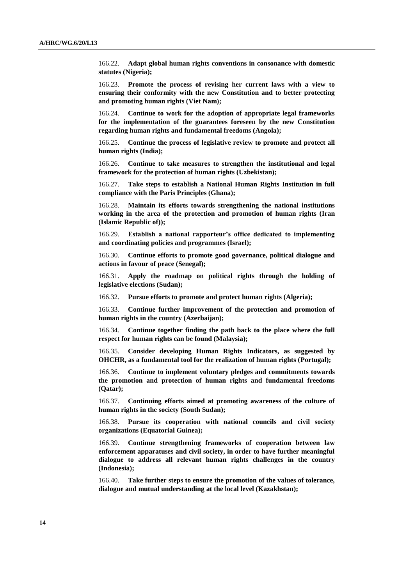166.22. **Adapt global human rights conventions in consonance with domestic statutes (Nigeria);**

166.23. **Promote the process of revising her current laws with a view to ensuring their conformity with the new Constitution and to better protecting and promoting human rights (Viet Nam);**

166.24. **Continue to work for the adoption of appropriate legal frameworks for the implementation of the guarantees foreseen by the new Constitution regarding human rights and fundamental freedoms (Angola);**

166.25. **Continue the process of legislative review to promote and protect all human rights (India);**

166.26. **Continue to take measures to strengthen the institutional and legal framework for the protection of human rights (Uzbekistan);**

166.27. **Take steps to establish a National Human Rights Institution in full compliance with the Paris Principles (Ghana);**

166.28. **Maintain its efforts towards strengthening the national institutions working in the area of the protection and promotion of human rights (Iran (Islamic Republic of));**

166.29. **Establish a national rapporteur's office dedicated to implementing and coordinating policies and programmes (Israel);**

166.30. **Continue efforts to promote good governance, political dialogue and actions in favour of peace (Senegal);**

166.31. **Apply the roadmap on political rights through the holding of legislative elections (Sudan);**

166.32. **Pursue efforts to promote and protect human rights (Algeria);**

166.33. **Continue further improvement of the protection and promotion of human rights in the country (Azerbaijan);**

166.34. **Continue together finding the path back to the place where the full respect for human rights can be found (Malaysia);**

166.35. **Consider developing Human Rights Indicators, as suggested by OHCHR, as a fundamental tool for the realization of human rights (Portugal);**

166.36. **Continue to implement voluntary pledges and commitments towards the promotion and protection of human rights and fundamental freedoms (Qatar);**

166.37. **Continuing efforts aimed at promoting awareness of the culture of human rights in the society (South Sudan);** 

166.38. **Pursue its cooperation with national councils and civil society organizations (Equatorial Guinea);** 

166.39. **Continue strengthening frameworks of cooperation between law enforcement apparatuses and civil society, in order to have further meaningful dialogue to address all relevant human rights challenges in the country (Indonesia);**

166.40. **Take further steps to ensure the promotion of the values of tolerance, dialogue and mutual understanding at the local level (Kazakhstan);**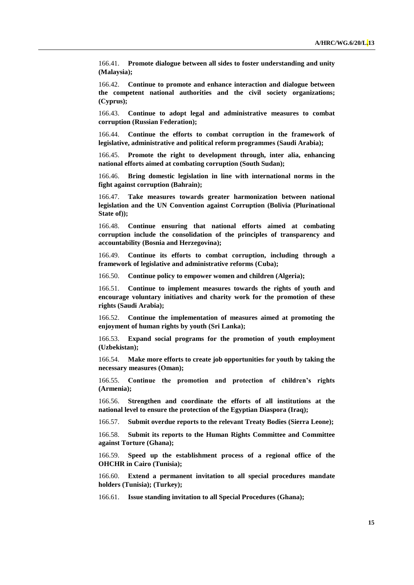166.41. **Promote dialogue between all sides to foster understanding and unity (Malaysia);**

166.42. **Continue to promote and enhance interaction and dialogue between the competent national authorities and the civil society organizations; (Cyprus);**

166.43. **Continue to adopt legal and administrative measures to combat corruption (Russian Federation);**

166.44. **Continue the efforts to combat corruption in the framework of legislative, administrative and political reform programmes (Saudi Arabia);**

166.45. **Promote the right to development through, inter alia, enhancing national efforts aimed at combating corruption (South Sudan);**

166.46. **Bring domestic legislation in line with international norms in the fight against corruption (Bahrain);**

166.47. **Take measures towards greater harmonization between national legislation and the UN Convention against Corruption (Bolivia (Plurinational State of));**

166.48. **Continue ensuring that national efforts aimed at combating corruption include the consolidation of the principles of transparency and accountability (Bosnia and Herzegovina);**

166.49. **Continue its efforts to combat corruption, including through a framework of legislative and administrative reforms (Cuba);**

166.50. **Continue policy to empower women and children (Algeria);**

166.51. **Continue to implement measures towards the rights of youth and encourage voluntary initiatives and charity work for the promotion of these rights (Saudi Arabia);**

166.52. **Continue the implementation of measures aimed at promoting the enjoyment of human rights by youth (Sri Lanka);**

166.53. **Expand social programs for the promotion of youth employment (Uzbekistan);**

166.54. **Make more efforts to create job opportunities for youth by taking the necessary measures (Oman);**

166.55. **Continue the promotion and protection of children's rights (Armenia);**

166.56. **Strengthen and coordinate the efforts of all institutions at the national level to ensure the protection of the Egyptian Diaspora (Iraq);**

166.57. **Submit overdue reports to the relevant Treaty Bodies (Sierra Leone);**

166.58. **Submit its reports to the Human Rights Committee and Committee against Torture (Ghana);**

166.59. **Speed up the establishment process of a regional office of the OHCHR in Cairo (Tunisia);**

166.60. **Extend a permanent invitation to all special procedures mandate holders (Tunisia); (Turkey);**

166.61. **Issue standing invitation to all Special Procedures (Ghana);**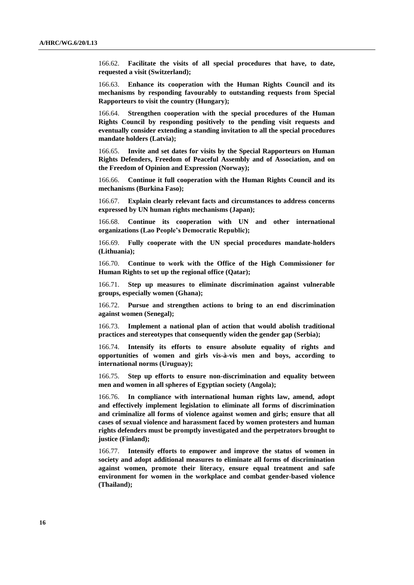166.62. **Facilitate the visits of all special procedures that have, to date, requested a visit (Switzerland);**

166.63. **Enhance its cooperation with the Human Rights Council and its mechanisms by responding favourably to outstanding requests from Special Rapporteurs to visit the country (Hungary);**

166.64. **Strengthen cooperation with the special procedures of the Human Rights Council by responding positively to the pending visit requests and eventually consider extending a standing invitation to all the special procedures mandate holders (Latvia);**

166.65. **Invite and set dates for visits by the Special Rapporteurs on Human Rights Defenders, Freedom of Peaceful Assembly and of Association, and on the Freedom of Opinion and Expression (Norway);**

166.66. **Continue it full cooperation with the Human Rights Council and its mechanisms (Burkina Faso);**

166.67. **Explain clearly relevant facts and circumstances to address concerns expressed by UN human rights mechanisms (Japan);**

166.68. **Continue its cooperation with UN and other international organizations (Lao People's Democratic Republic);**

166.69. **Fully cooperate with the UN special procedures mandate-holders (Lithuania);**

166.70. **Continue to work with the Office of the High Commissioner for Human Rights to set up the regional office (Qatar);**

166.71. **Step up measures to eliminate discrimination against vulnerable groups, especially women (Ghana);**

166.72. **Pursue and strengthen actions to bring to an end discrimination against women (Senegal);**

166.73. **Implement a national plan of action that would abolish traditional practices and stereotypes that consequently widen the gender gap (Serbia);**

166.74. **Intensify its efforts to ensure absolute equality of rights and opportunities of women and girls vis-à-vis men and boys, according to international norms (Uruguay);**

166.75. **Step up efforts to ensure non-discrimination and equality between men and women in all spheres of Egyptian society (Angola);**

166.76. **In compliance with international human rights law, amend, adopt and effectively implement legislation to eliminate all forms of discrimination and criminalize all forms of violence against women and girls; ensure that all cases of sexual violence and harassment faced by women protesters and human rights defenders must be promptly investigated and the perpetrators brought to justice (Finland);**

166.77. **Intensify efforts to empower and improve the status of women in society and adopt additional measures to eliminate all forms of discrimination against women, promote their literacy, ensure equal treatment and safe environment for women in the workplace and combat gender-based violence (Thailand);**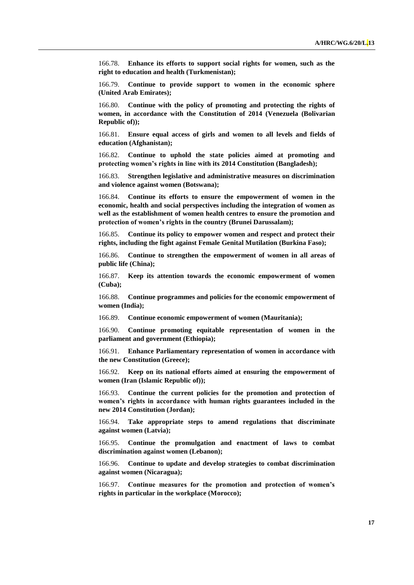166.78. **Enhance its efforts to support social rights for women, such as the right to education and health (Turkmenistan);**

166.79. **Continue to provide support to women in the economic sphere (United Arab Emirates);**

166.80. **Continue with the policy of promoting and protecting the rights of women, in accordance with the Constitution of 2014 (Venezuela (Bolivarian Republic of));**

166.81. **Ensure equal access of girls and women to all levels and fields of education (Afghanistan);**

166.82. **Continue to uphold the state policies aimed at promoting and protecting women's rights in line with its 2014 Constitution (Bangladesh);**

166.83. **Strengthen legislative and administrative measures on discrimination and violence against women (Botswana);**

166.84. **Continue its efforts to ensure the empowerment of women in the economic, health and social perspectives including the integration of women as well as the establishment of women health centres to ensure the promotion and protection of women's rights in the country (Brunei Darussalam);**

166.85. **Continue its policy to empower women and respect and protect their rights, including the fight against Female Genital Mutilation (Burkina Faso);** 

166.86. **Continue to strengthen the empowerment of women in all areas of public life (China);**

166.87. **Keep its attention towards the economic empowerment of women (Cuba);** 

166.88. **Continue programmes and policies for the economic empowerment of women (India);**

166.89. **Continue economic empowerment of women (Mauritania);**

166.90. **Continue promoting equitable representation of women in the parliament and government (Ethiopia);**

166.91. **Enhance Parliamentary representation of women in accordance with the new Constitution (Greece);**

166.92. **Keep on its national efforts aimed at ensuring the empowerment of women (Iran (Islamic Republic of));**

166.93. **Continue the current policies for the promotion and protection of women's rights in accordance with human rights guarantees included in the new 2014 Constitution (Jordan);**

166.94. **Take appropriate steps to amend regulations that discriminate against women (Latvia);**

166.95. **Continue the promulgation and enactment of laws to combat discrimination against women (Lebanon);**

166.96. **Continue to update and develop strategies to combat discrimination against women (Nicaragua);** 

166.97. **Continue measures for the promotion and protection of women's rights in particular in the workplace (Morocco);**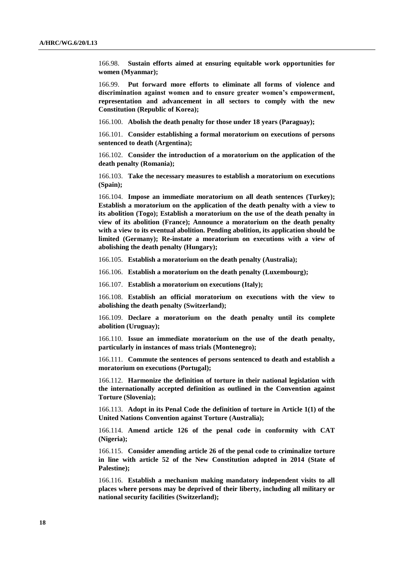166.98. **Sustain efforts aimed at ensuring equitable work opportunities for women (Myanmar);**

166.99. **Put forward more efforts to eliminate all forms of violence and discrimination against women and to ensure greater women's empowerment, representation and advancement in all sectors to comply with the new Constitution (Republic of Korea);**

166.100. **Abolish the death penalty for those under 18 years (Paraguay);** 

166.101. **Consider establishing a formal moratorium on executions of persons sentenced to death (Argentina);**

166.102. **Consider the introduction of a moratorium on the application of the death penalty (Romania);**

166.103. **Take the necessary measures to establish a moratorium on executions (Spain);**

166.104. **Impose an immediate moratorium on all death sentences (Turkey); Establish a moratorium on the application of the death penalty with a view to its abolition (Togo); Establish a moratorium on the use of the death penalty in view of its abolition (France); Announce a moratorium on the death penalty with a view to its eventual abolition. Pending abolition, its application should be limited (Germany); Re-instate a moratorium on executions with a view of abolishing the death penalty (Hungary);**

166.105. **Establish a moratorium on the death penalty (Australia);**

166.106. **Establish a moratorium on the death penalty (Luxembourg);**

166.107. **Establish a moratorium on executions (Italy);** 

166.108. **Establish an official moratorium on executions with the view to abolishing the death penalty (Switzerland);**

166.109. **Declare a moratorium on the death penalty until its complete abolition (Uruguay);** 

166.110. **Issue an immediate moratorium on the use of the death penalty, particularly in instances of mass trials (Montenegro);**

166.111. **Commute the sentences of persons sentenced to death and establish a moratorium on executions (Portugal);**

166.112. **Harmonize the definition of torture in their national legislation with the internationally accepted definition as outlined in the Convention against Torture (Slovenia);**

166.113. **Adopt in its Penal Code the definition of torture in Article 1(1) of the United Nations Convention against Torture (Australia);** 

166.114. **Amend article 126 of the penal code in conformity with CAT (Nigeria);**

166.115. **Consider amending article 26 of the penal code to criminalize torture in line with article 52 of the New Constitution adopted in 2014 (State of Palestine);**

166.116. **Establish a mechanism making mandatory independent visits to all places where persons may be deprived of their liberty, including all military or national security facilities (Switzerland);**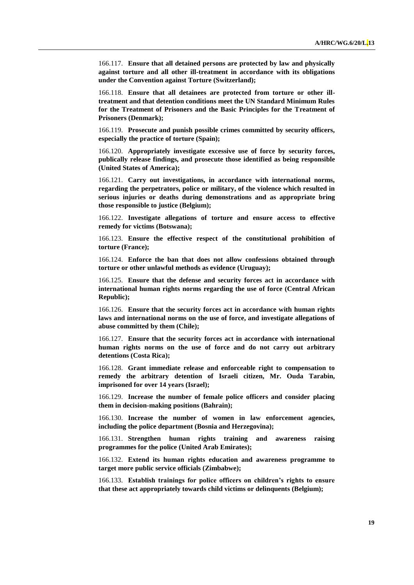166.117. **Ensure that all detained persons are protected by law and physically against torture and all other ill-treatment in accordance with its obligations under the Convention against Torture (Switzerland);**

166.118. **Ensure that all detainees are protected from torture or other illtreatment and that detention conditions meet the UN Standard Minimum Rules for the Treatment of Prisoners and the Basic Principles for the Treatment of Prisoners (Denmark);**

166.119. **Prosecute and punish possible crimes committed by security officers, especially the practice of torture (Spain);**

166.120. **Appropriately investigate excessive use of force by security forces, publically release findings, and prosecute those identified as being responsible (United States of America);** 

166.121. **Carry out investigations, in accordance with international norms, regarding the perpetrators, police or military, of the violence which resulted in serious injuries or deaths during demonstrations and as appropriate bring those responsible to justice (Belgium);**

166.122. **Investigate allegations of torture and ensure access to effective remedy for victims (Botswana);**

166.123. **Ensure the effective respect of the constitutional prohibition of torture (France);** 

166.124. **Enforce the ban that does not allow confessions obtained through torture or other unlawful methods as evidence (Uruguay);** 

166.125. **Ensure that the defense and security forces act in accordance with international human rights norms regarding the use of force (Central African Republic);**

166.126. **Ensure that the security forces act in accordance with human rights laws and international norms on the use of force, and investigate allegations of abuse committed by them (Chile);**

166.127. **Ensure that the security forces act in accordance with international human rights norms on the use of force and do not carry out arbitrary detentions (Costa Rica);** 

166.128. **Grant immediate release and enforceable right to compensation to remedy the arbitrary detention of Israeli citizen, Mr. Ouda Tarabin, imprisoned for over 14 years (Israel);**

166.129. **Increase the number of female police officers and consider placing them in decision-making positions (Bahrain);**

166.130. **Increase the number of women in law enforcement agencies, including the police department (Bosnia and Herzegovina);**

166.131. **Strengthen human rights training and awareness raising programmes for the police (United Arab Emirates);**

166.132. **Extend its human rights education and awareness programme to target more public service officials (Zimbabwe);** 

166.133. **Establish trainings for police officers on children's rights to ensure that these act appropriately towards child victims or delinquents (Belgium);**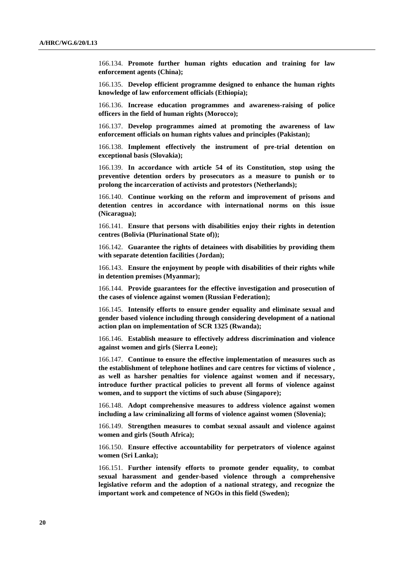166.134. **Promote further human rights education and training for law enforcement agents (China);**

166.135. **Develop efficient programme designed to enhance the human rights knowledge of law enforcement officials (Ethiopia);**

166.136. **Increase education programmes and awareness-raising of police officers in the field of human rights (Morocco);**

166.137. **Develop programmes aimed at promoting the awareness of law enforcement officials on human rights values and principles (Pakistan);**

166.138. **Implement effectively the instrument of pre-trial detention on exceptional basis (Slovakia);** 

166.139. **In accordance with article 54 of its Constitution, stop using the preventive detention orders by prosecutors as a measure to punish or to prolong the incarceration of activists and protestors (Netherlands);**

166.140. **Continue working on the reform and improvement of prisons and detention centres in accordance with international norms on this issue (Nicaragua);** 

166.141. **Ensure that persons with disabilities enjoy their rights in detention centres (Bolivia (Plurinational State of));** 

166.142. **Guarantee the rights of detainees with disabilities by providing them with separate detention facilities (Jordan);**

166.143. **Ensure the enjoyment by people with disabilities of their rights while in detention premises (Myanmar);**

166.144. **Provide guarantees for the effective investigation and prosecution of the cases of violence against women (Russian Federation);**

166.145. **Intensify efforts to ensure gender equality and eliminate sexual and gender based violence including through considering development of a national action plan on implementation of SCR 1325 (Rwanda);**

166.146. **Establish measure to effectively address discrimination and violence against women and girls (Sierra Leone);**

166.147. **Continue to ensure the effective implementation of measures such as the establishment of telephone hotlines and care centres for victims of violence , as well as harsher penalties for violence against women and if necessary, introduce further practical policies to prevent all forms of violence against women, and to support the victims of such abuse (Singapore);** 

166.148. **Adopt comprehensive measures to address violence against women including a law criminalizing all forms of violence against women (Slovenia);**

166.149. **Strengthen measures to combat sexual assault and violence against women and girls (South Africa);**

166.150. **Ensure effective accountability for perpetrators of violence against women (Sri Lanka);**

166.151. **Further intensify efforts to promote gender equality, to combat sexual harassment and gender-based violence through a comprehensive legislative reform and the adoption of a national strategy, and recognize the important work and competence of NGOs in this field (Sweden);**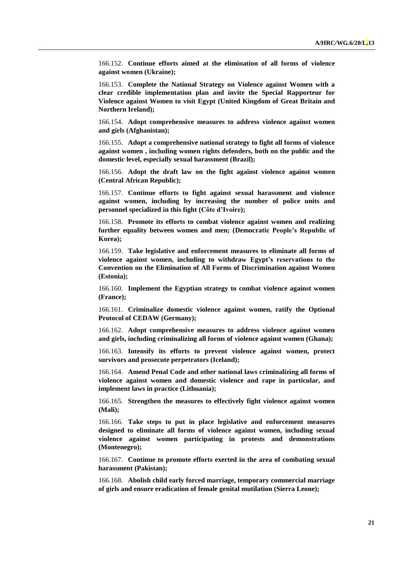166.152. **Continue efforts aimed at the elimination of all forms of violence against women (Ukraine);**

166.153. **Complete the National Strategy on Violence against Women with a clear credible implementation plan and invite the Special Rapporteur for Violence against Women to visit Egypt (United Kingdom of Great Britain and Northern Ireland);** 

166.154. **Adopt comprehensive measures to address violence against women and girls (Afghanistan);** 

166.155. **Adopt a comprehensive national strategy to fight all forms of violence against women , including women rights defenders, both on the public and the domestic level, especially sexual harassment (Brazil);**

166.156. **Adopt the draft law on the fight against violence against women (Central African Republic);**

166.157. **Continue efforts to fight against sexual harassment and violence against women, including by increasing the number of police units and personnel specialized in this fight (Côte d'Ivoire);**

166.158. **Promote its efforts to combat violence against women and realizing further equality between women and men; (Democratic People's Republic of Korea);**

166.159. **Take legislative and enforcement measures to eliminate all forms of violence against women, including to withdraw Egypt's reservations to the Convention on the Elimination of All Forms of Discrimination against Women (Estonia);**

166.160. **Implement the Egyptian strategy to combat violence against women (France);**

166.161. **Criminalize domestic violence against women, ratify the Optional Protocol of CEDAW (Germany);**

166.162. **Adopt comprehensive measures to address violence against women and girls, including criminalizing all forms of violence against women (Ghana);**

166.163. **Intensify its efforts to prevent violence against women, protect survivors and prosecute perpetrators (Iceland);**

166.164. **Amend Penal Code and other national laws criminalizing all forms of violence against women and domestic violence and rape in particular, and implement laws in practice (Lithuania);**

166.165. **Strengthen the measures to effectively fight violence against women (Mali);**

166.166. **Take steps to put in place legislative and enforcement measures designed to eliminate all forms of violence against women, including sexual violence against women participating in protests and demonstrations (Montenegro);**

166.167. **Continue to promote efforts exerted in the area of combating sexual harassment (Pakistan);**

166.168. **Abolish child early forced marriage, temporary commercial marriage of girls and ensure eradication of female genital mutilation (Sierra Leone);**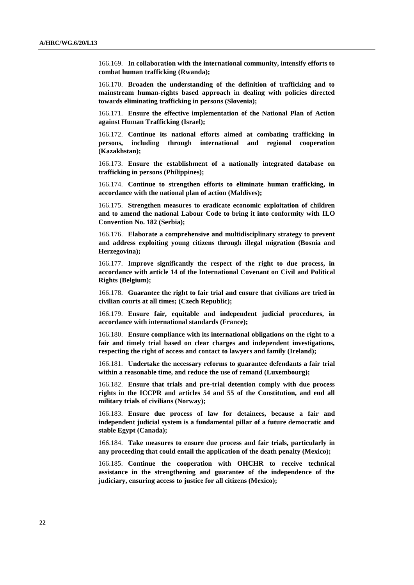166.169. **In collaboration with the international community, intensify efforts to combat human trafficking (Rwanda);**

166.170. **Broaden the understanding of the definition of trafficking and to mainstream human-rights based approach in dealing with policies directed towards eliminating trafficking in persons (Slovenia);**

166.171. **Ensure the effective implementation of the National Plan of Action against Human Trafficking (Israel);**

166.172. **Continue its national efforts aimed at combating trafficking in persons, including through international and regional cooperation (Kazakhstan);**

166.173. **Ensure the establishment of a nationally integrated database on trafficking in persons (Philippines);**

166.174. **Continue to strengthen efforts to eliminate human trafficking, in accordance with the national plan of action (Maldives);**

166.175. **Strengthen measures to eradicate economic exploitation of children and to amend the national Labour Code to bring it into conformity with ILO Convention No. 182 (Serbia);**

166.176. **Elaborate a comprehensive and multidisciplinary strategy to prevent and address exploiting young citizens through illegal migration (Bosnia and Herzegovina);**

166.177. **Improve significantly the respect of the right to due process, in accordance with article 14 of the International Covenant on Civil and Political Rights (Belgium);**

166.178. **Guarantee the right to fair trial and ensure that civilians are tried in civilian courts at all times; (Czech Republic);**

166.179. **Ensure fair, equitable and independent judicial procedures, in accordance with international standards (France);** 

166.180. **Ensure compliance with its international obligations on the right to a fair and timely trial based on clear charges and independent investigations, respecting the right of access and contact to lawyers and family (Ireland);**

166.181. **Undertake the necessary reforms to guarantee defendants a fair trial within a reasonable time, and reduce the use of remand (Luxembourg);**

166.182. **Ensure that trials and pre-trial detention comply with due process rights in the ICCPR and articles 54 and 55 of the Constitution, and end all military trials of civilians (Norway);**

166.183. **Ensure due process of law for detainees, because a fair and independent judicial system is a fundamental pillar of a future democratic and stable Egypt (Canada);**

166.184. **Take measures to ensure due process and fair trials, particularly in any proceeding that could entail the application of the death penalty (Mexico);** 

166.185. **Continue the cooperation with OHCHR to receive technical assistance in the strengthening and guarantee of the independence of the judiciary, ensuring access to justice for all citizens (Mexico);**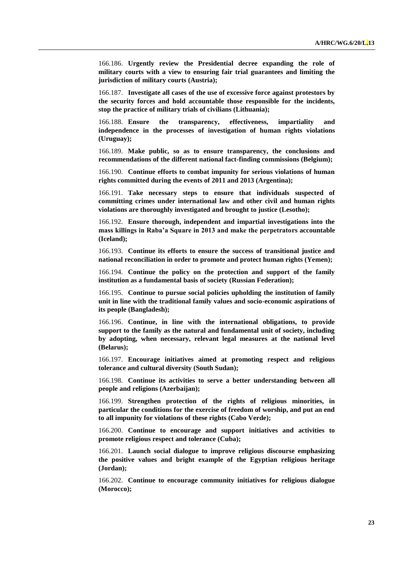166.186. **Urgently review the Presidential decree expanding the role of military courts with a view to ensuring fair trial guarantees and limiting the jurisdiction of military courts (Austria);**

166.187. **Investigate all cases of the use of excessive force against protestors by the security forces and hold accountable those responsible for the incidents, stop the practice of military trials of civilians (Lithuania);**

166.188. **Ensure the transparency, effectiveness, impartiality and independence in the processes of investigation of human rights violations (Uruguay);**

166.189. **Make public, so as to ensure transparency, the conclusions and recommendations of the different national fact-finding commissions (Belgium);**

166.190. **Continue efforts to combat impunity for serious violations of human rights committed during the events of 2011 and 2013 (Argentina);** 

166.191. **Take necessary steps to ensure that individuals suspected of committing crimes under international law and other civil and human rights violations are thoroughly investigated and brought to justice (Lesotho);**

166.192. **Ensure thorough, independent and impartial investigations into the mass killings in Raba'a Square in 2013 and make the perpetrators accountable (Iceland);**

166.193. **Continue its efforts to ensure the success of transitional justice and national reconciliation in order to promote and protect human rights (Yemen);**

166.194. **Continue the policy on the protection and support of the family institution as a fundamental basis of society (Russian Federation);**

166.195. **Continue to pursue social policies upholding the institution of family unit in line with the traditional family values and socio-economic aspirations of its people (Bangladesh);**

166.196. **Continue, in line with the international obligations, to provide support to the family as the natural and fundamental unit of society, including by adopting, when necessary, relevant legal measures at the national level (Belarus);**

166.197. **Encourage initiatives aimed at promoting respect and religious tolerance and cultural diversity (South Sudan);**

166.198. **Continue its activities to serve a better understanding between all people and religions (Azerbaijan);**

166.199. **Strengthen protection of the rights of religious minorities, in particular the conditions for the exercise of freedom of worship, and put an end to all impunity for violations of these rights (Cabo Verde);**

166.200. **Continue to encourage and support initiatives and activities to promote religious respect and tolerance (Cuba);**

166.201. **Launch social dialogue to improve religious discourse emphasizing the positive values and bright example of the Egyptian religious heritage (Jordan);**

166.202. **Continue to encourage community initiatives for religious dialogue (Morocco);**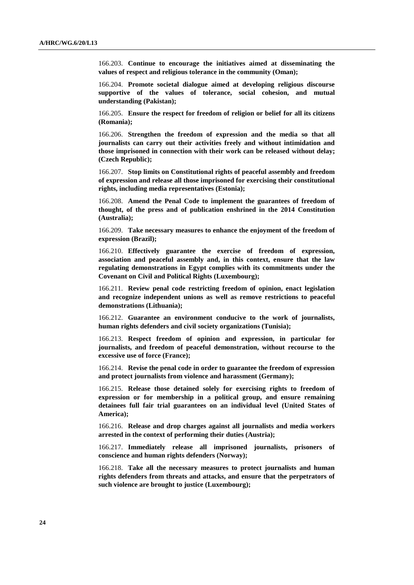166.203. **Continue to encourage the initiatives aimed at disseminating the values of respect and religious tolerance in the community (Oman);**

166.204. **Promote societal dialogue aimed at developing religious discourse supportive of the values of tolerance, social cohesion, and mutual understanding (Pakistan);**

166.205. **Ensure the respect for freedom of religion or belief for all its citizens (Romania);** 

166.206. **Strengthen the freedom of expression and the media so that all journalists can carry out their activities freely and without intimidation and those imprisoned in connection with their work can be released without delay; (Czech Republic);**

166.207. **Stop limits on Constitutional rights of peaceful assembly and freedom of expression and release all those imprisoned for exercising their constitutional rights, including media representatives (Estonia);**

166.208. **Amend the Penal Code to implement the guarantees of freedom of thought, of the press and of publication enshrined in the 2014 Constitution (Australia);** 

166.209. **Take necessary measures to enhance the enjoyment of the freedom of expression (Brazil);**

166.210. **Effectively guarantee the exercise of freedom of expression, association and peaceful assembly and, in this context, ensure that the law regulating demonstrations in Egypt complies with its commitments under the Covenant on Civil and Political Rights (Luxembourg);**

166.211. **Review penal code restricting freedom of opinion, enact legislation and recognize independent unions as well as remove restrictions to peaceful demonstrations (Lithuania);**

166.212. **Guarantee an environment conducive to the work of journalists, human rights defenders and civil society organizations (Tunisia);**

166.213. **Respect freedom of opinion and expression, in particular for journalists, and freedom of peaceful demonstration, without recourse to the excessive use of force (France);** 

166.214. **Revise the penal code in order to guarantee the freedom of expression and protect journalists from violence and harassment (Germany);**

166.215. **Release those detained solely for exercising rights to freedom of expression or for membership in a political group, and ensure remaining detainees full fair trial guarantees on an individual level (United States of America);**

166.216. **Release and drop charges against all journalists and media workers arrested in the context of performing their duties (Austria);**

166.217. **Immediately release all imprisoned journalists, prisoners of conscience and human rights defenders (Norway);**

166.218. **Take all the necessary measures to protect journalists and human rights defenders from threats and attacks, and ensure that the perpetrators of such violence are brought to justice (Luxembourg);**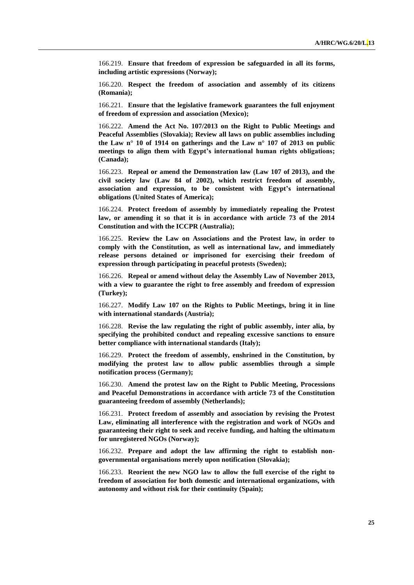166.219. **Ensure that freedom of expression be safeguarded in all its forms, including artistic expressions (Norway);**

166.220. **Respect the freedom of association and assembly of its citizens (Romania);** 

166.221. **Ensure that the legislative framework guarantees the full enjoyment of freedom of expression and association (Mexico);**

166.222. **Amend the Act No. 107/2013 on the Right to Public Meetings and Peaceful Assemblies (Slovakia); Review all laws on public assemblies including the Law n° 10 of 1914 on gatherings and the Law n° 107 of 2013 on public meetings to align them with Egypt's international human rights obligations; (Canada);**

166.223. **Repeal or amend the Demonstration law (Law 107 of 2013), and the civil society law (Law 84 of 2002), which restrict freedom of assembly, association and expression, to be consistent with Egypt's international obligations (United States of America);**

166.224. **Protect freedom of assembly by immediately repealing the Protest law, or amending it so that it is in accordance with article 73 of the 2014 Constitution and with the ICCPR (Australia);**

166.225. **Review the Law on Associations and the Protest law, in order to comply with the Constitution, as well as international law, and immediately release persons detained or imprisoned for exercising their freedom of expression through participating in peaceful protests (Sweden);**

166.226. **Repeal or amend without delay the Assembly Law of November 2013, with a view to guarantee the right to free assembly and freedom of expression (Turkey);**

166.227. **Modify Law 107 on the Rights to Public Meetings, bring it in line with international standards (Austria);**

166.228. **Revise the law regulating the right of public assembly, inter alia, by specifying the prohibited conduct and repealing excessive sanctions to ensure better compliance with international standards (Italy);**

166.229. **Protect the freedom of assembly, enshrined in the Constitution, by modifying the protest law to allow public assemblies through a simple notification process (Germany);**

166.230. **Amend the protest law on the Right to Public Meeting, Processions and Peaceful Demonstrations in accordance with article 73 of the Constitution guaranteeing freedom of assembly (Netherlands);**

166.231. **Protect freedom of assembly and association by revising the Protest Law, eliminating all interference with the registration and work of NGOs and guaranteeing their right to seek and receive funding, and halting the ultimatum for unregistered NGOs (Norway);**

166.232. **Prepare and adopt the law affirming the right to establish nongovernmental organisations merely upon notification (Slovakia);**

166.233. **Reorient the new NGO law to allow the full exercise of the right to freedom of association for both domestic and international organizations, with autonomy and without risk for their continuity (Spain);**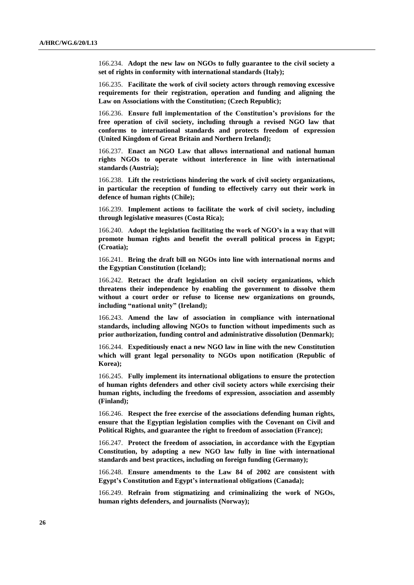166.234. **Adopt the new law on NGOs to fully guarantee to the civil society a set of rights in conformity with international standards (Italy);**

166.235. **Facilitate the work of civil society actors through removing excessive requirements for their registration, operation and funding and aligning the Law on Associations with the Constitution; (Czech Republic);**

166.236. **Ensure full implementation of the Constitution's provisions for the free operation of civil society, including through a revised NGO law that conforms to international standards and protects freedom of expression (United Kingdom of Great Britain and Northern Ireland);**

166.237. **Enact an NGO Law that allows international and national human rights NGOs to operate without interference in line with international standards (Austria);**

166.238. **Lift the restrictions hindering the work of civil society organizations, in particular the reception of funding to effectively carry out their work in defence of human rights (Chile);**

166.239. **Implement actions to facilitate the work of civil society, including through legislative measures (Costa Rica);**

166.240. **Adopt the legislation facilitating the work of NGO's in a way that will promote human rights and benefit the overall political process in Egypt; (Croatia);**

166.241. **Bring the draft bill on NGOs into line with international norms and the Egyptian Constitution (Iceland);**

166.242. **Retract the draft legislation on civil society organizations, which threatens their independence by enabling the government to dissolve them without a court order or refuse to license new organizations on grounds, including "national unity" (Ireland);**

166.243. **Amend the law of association in compliance with international standards, including allowing NGOs to function without impediments such as prior authorization, funding control and administrative dissolution (Denmark);**

166.244. **Expeditiously enact a new NGO law in line with the new Constitution which will grant legal personality to NGOs upon notification (Republic of Korea);**

166.245. **Fully implement its international obligations to ensure the protection of human rights defenders and other civil society actors while exercising their human rights, including the freedoms of expression, association and assembly (Finland);**

166.246. **Respect the free exercise of the associations defending human rights, ensure that the Egyptian legislation complies with the Covenant on Civil and Political Rights, and guarantee the right to freedom of association (France);**

166.247. **Protect the freedom of association, in accordance with the Egyptian Constitution, by adopting a new NGO law fully in line with international standards and best practices, including on foreign funding (Germany);**

166.248. **Ensure amendments to the Law 84 of 2002 are consistent with Egypt's Constitution and Egypt's international obligations (Canada);**

166.249. **Refrain from stigmatizing and criminalizing the work of NGOs, human rights defenders, and journalists (Norway);**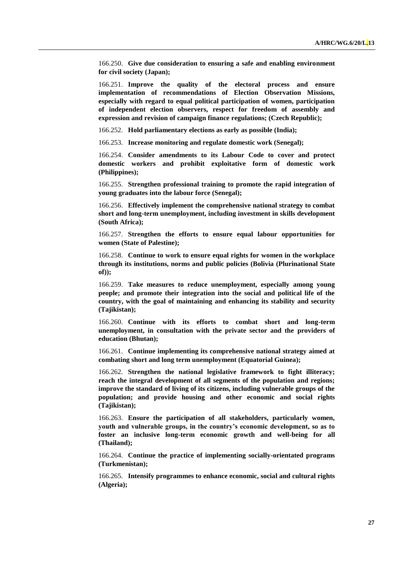166.250. **Give due consideration to ensuring a safe and enabling environment for civil society (Japan);**

166.251. **Improve the quality of the electoral process and ensure implementation of recommendations of Election Observation Missions, especially with regard to equal political participation of women, participation of independent election observers, respect for freedom of assembly and expression and revision of campaign finance regulations; (Czech Republic);**

166.252. **Hold parliamentary elections as early as possible (India);**

166.253. **Increase monitoring and regulate domestic work (Senegal);**

166.254. **Consider amendments to its Labour Code to cover and protect domestic workers and prohibit exploitative form of domestic work (Philippines);**

166.255. **Strengthen professional training to promote the rapid integration of young graduates into the labour force (Senegal);**

166.256. **Effectively implement the comprehensive national strategy to combat short and long-term unemployment, including investment in skills development (South Africa);**

166.257. **Strengthen the efforts to ensure equal labour opportunities for women (State of Palestine);** 

166.258. **Continue to work to ensure equal rights for women in the workplace through its institutions, norms and public policies (Bolivia (Plurinational State of));**

166.259. **Take measures to reduce unemployment, especially among young people; and promote their integration into the social and political life of the country, with the goal of maintaining and enhancing its stability and security (Tajikistan);**

166.260. **Continue with its efforts to combat short and long-term unemployment, in consultation with the private sector and the providers of education (Bhutan);**

166.261. **Continue implementing its comprehensive national strategy aimed at combating short and long term unemployment (Equatorial Guinea);** 

166.262. **Strengthen the national legislative framework to fight illiteracy; reach the integral development of all segments of the population and regions; improve the standard of living of its citizens, including vulnerable groups of the population; and provide housing and other economic and social rights (Tajikistan);**

166.263. **Ensure the participation of all stakeholders, particularly women, youth and vulnerable groups, in the country's economic development, so as to foster an inclusive long-term economic growth and well-being for all (Thailand);**

166.264. **Continue the practice of implementing socially-orientated programs (Turkmenistan);**

166.265. **Intensify programmes to enhance economic, social and cultural rights (Algeria);**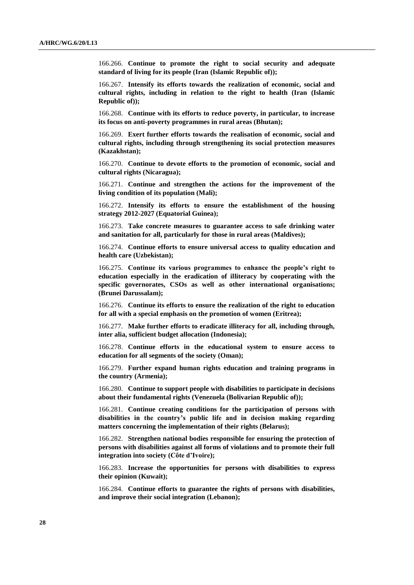166.266. **Continue to promote the right to social security and adequate standard of living for its people (Iran (Islamic Republic of));**

166.267. **Intensify its efforts towards the realization of economic, social and cultural rights, including in relation to the right to health (Iran (Islamic Republic of));**

166.268. **Continue with its efforts to reduce poverty, in particular, to increase its focus on anti-poverty programmes in rural areas (Bhutan);**

166.269. **Exert further efforts towards the realisation of economic, social and cultural rights, including through strengthening its social protection measures (Kazakhstan);**

166.270. **Continue to devote efforts to the promotion of economic, social and cultural rights (Nicaragua);**

166.271. **Continue and strengthen the actions for the improvement of the living condition of its population (Mali);** 

166.272. **Intensify its efforts to ensure the establishment of the housing strategy 2012-2027 (Equatorial Guinea);** 

166.273. **Take concrete measures to guarantee access to safe drinking water and sanitation for all, particularly for those in rural areas (Maldives);**

166.274. **Continue efforts to ensure universal access to quality education and health care (Uzbekistan);**

166.275. **Continue its various programmes to enhance the people's right to education especially in the eradication of illiteracy by cooperating with the specific governorates, CSOs as well as other international organisations; (Brunei Darussalam);**

166.276. **Continue its efforts to ensure the realization of the right to education for all with a special emphasis on the promotion of women (Eritrea);**

166.277. **Make further efforts to eradicate illiteracy for all, including through, inter alia, sufficient budget allocation (Indonesia);**

166.278. **Continue efforts in the educational system to ensure access to education for all segments of the society (Oman);**

166.279. **Further expand human rights education and training programs in the country (Armenia);**

166.280. **Continue to support people with disabilities to participate in decisions about their fundamental rights (Venezuela (Bolivarian Republic of));** 

166.281. **Continue creating conditions for the participation of persons with disabilities in the country's public life and in decision making regarding matters concerning the implementation of their rights (Belarus);**

166.282. **Strengthen national bodies responsible for ensuring the protection of persons with disabilities against all forms of violations and to promote their full integration into society (Côte d'Ivoire);**

166.283. **Increase the opportunities for persons with disabilities to express their opinion (Kuwait);**

166.284. **Continue efforts to guarantee the rights of persons with disabilities, and improve their social integration (Lebanon);**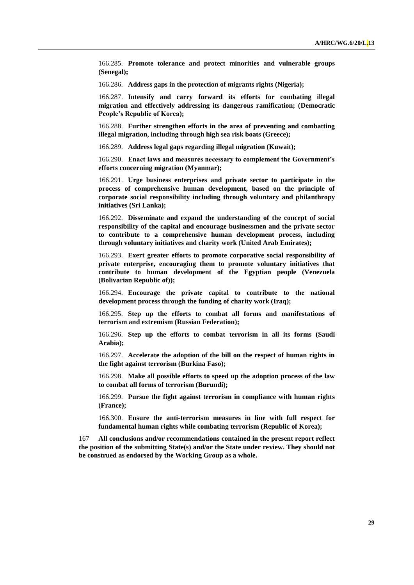166.285. **Promote tolerance and protect minorities and vulnerable groups (Senegal);**

166.286. **Address gaps in the protection of migrants rights (Nigeria);**

166.287. **Intensify and carry forward its efforts for combating illegal migration and effectively addressing its dangerous ramification; (Democratic People's Republic of Korea);**

166.288. **Further strengthen efforts in the area of preventing and combatting illegal migration, including through high sea risk boats (Greece);**

166.289. **Address legal gaps regarding illegal migration (Kuwait);**

166.290. **Enact laws and measures necessary to complement the Government's efforts concerning migration (Myanmar);**

166.291. **Urge business enterprises and private sector to participate in the process of comprehensive human development, based on the principle of corporate social responsibility including through voluntary and philanthropy initiatives (Sri Lanka);**

166.292. **Disseminate and expand the understanding of the concept of social responsibility of the capital and encourage businessmen and the private sector to contribute to a comprehensive human development process, including through voluntary initiatives and charity work (United Arab Emirates);**

166.293. **Exert greater efforts to promote corporative social responsibility of private enterprise, encouraging them to promote voluntary initiatives that contribute to human development of the Egyptian people (Venezuela (Bolivarian Republic of));** 

166.294. **Encourage the private capital to contribute to the national development process through the funding of charity work (Iraq);**

166.295. **Step up the efforts to combat all forms and manifestations of terrorism and extremism (Russian Federation);**

166.296. **Step up the efforts to combat terrorism in all its forms (Saudi Arabia);**

166.297. **Accelerate the adoption of the bill on the respect of human rights in the fight against terrorism (Burkina Faso);**

166.298. **Make all possible efforts to speed up the adoption process of the law to combat all forms of terrorism (Burundi);** 

166.299. **Pursue the fight against terrorism in compliance with human rights (France);** 

166.300. **Ensure the anti-terrorism measures in line with full respect for fundamental human rights while combating terrorism (Republic of Korea);**

167 **All conclusions and/or recommendations contained in the present report reflect the position of the submitting State(s) and/or the State under review. They should not be construed as endorsed by the Working Group as a whole.**